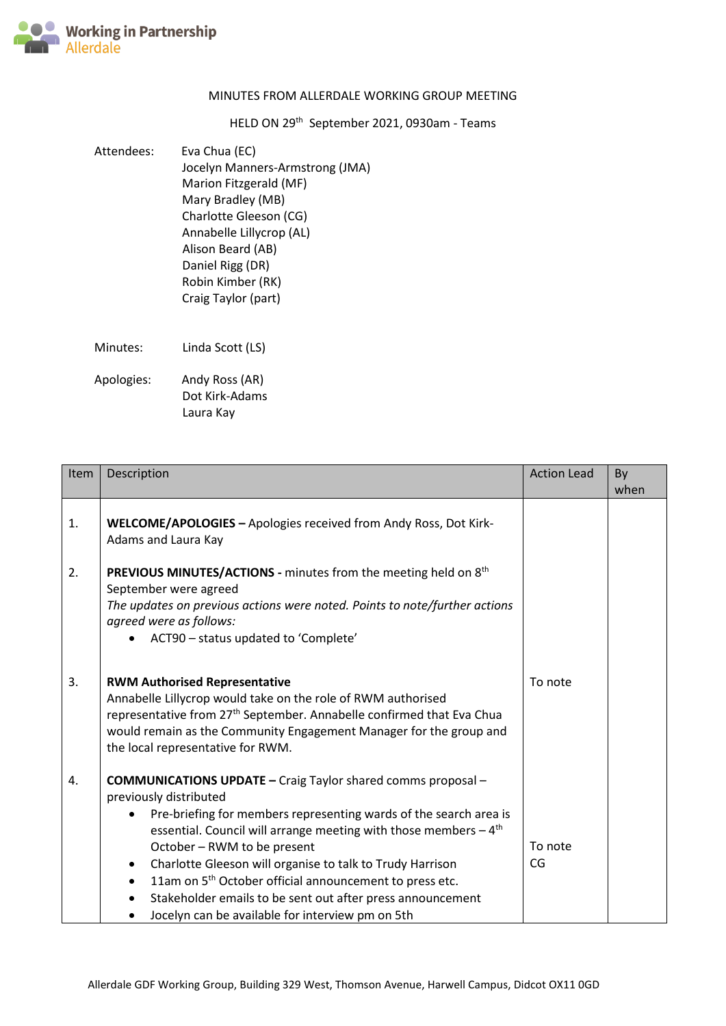

## MINUTES FROM ALLERDALE WORKING GROUP MEETING

## HELD ON 29th September 2021, 0930am - Teams

Attendees: Eva Chua (EC) Jocelyn Manners-Armstrong (JMA) Marion Fitzgerald (MF) Mary Bradley (MB) Charlotte Gleeson (CG) Annabelle Lillycrop (AL) Alison Beard (AB) Daniel Rigg (DR) Robin Kimber (RK) Craig Taylor (part) Minutes: Linda Scott (LS)

Apologies: Andy Ross (AR)

 Dot Kirk-Adams Laura Kay

| Item | Description                                                                                                                                                                                                                                                                                                                                                                                                                                                                                                                                                               | <b>Action Lead</b> | By<br>when |
|------|---------------------------------------------------------------------------------------------------------------------------------------------------------------------------------------------------------------------------------------------------------------------------------------------------------------------------------------------------------------------------------------------------------------------------------------------------------------------------------------------------------------------------------------------------------------------------|--------------------|------------|
| 1.   | WELCOME/APOLOGIES - Apologies received from Andy Ross, Dot Kirk-<br>Adams and Laura Kay                                                                                                                                                                                                                                                                                                                                                                                                                                                                                   |                    |            |
| 2.   | PREVIOUS MINUTES/ACTIONS - minutes from the meeting held on 8th<br>September were agreed<br>The updates on previous actions were noted. Points to note/further actions<br>agreed were as follows:<br>ACT90 - status updated to 'Complete'                                                                                                                                                                                                                                                                                                                                 |                    |            |
| 3.   | <b>RWM Authorised Representative</b><br>Annabelle Lillycrop would take on the role of RWM authorised<br>representative from 27 <sup>th</sup> September. Annabelle confirmed that Eva Chua<br>would remain as the Community Engagement Manager for the group and<br>the local representative for RWM.                                                                                                                                                                                                                                                                      | To note            |            |
| 4.   | <b>COMMUNICATIONS UPDATE - Craig Taylor shared comms proposal -</b><br>previously distributed<br>Pre-briefing for members representing wards of the search area is<br>٠<br>essential. Council will arrange meeting with those members $-4$ <sup>th</sup><br>October - RWM to be present<br>Charlotte Gleeson will organise to talk to Trudy Harrison<br>٠<br>11am on 5 <sup>th</sup> October official announcement to press etc.<br>$\bullet$<br>Stakeholder emails to be sent out after press announcement<br>٠<br>Jocelyn can be available for interview pm on 5th<br>٠ | To note<br>CG      |            |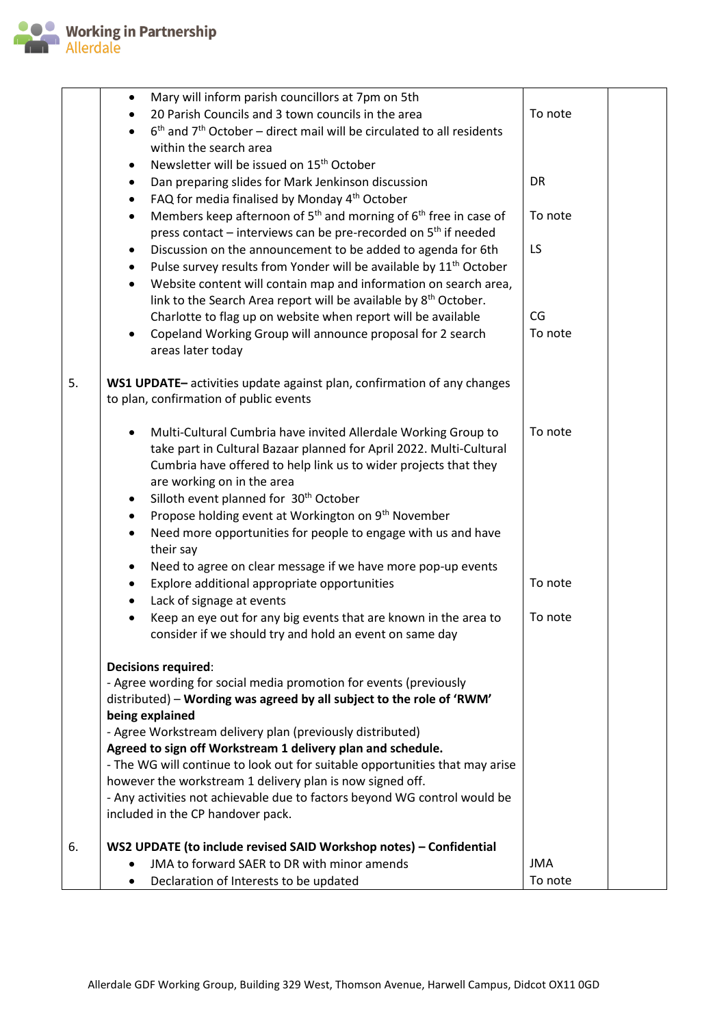

|    | Mary will inform parish councillors at 7pm on 5th                                                                                                                                                         |            |  |
|----|-----------------------------------------------------------------------------------------------------------------------------------------------------------------------------------------------------------|------------|--|
|    | 20 Parish Councils and 3 town councils in the area                                                                                                                                                        | To note    |  |
|    | $6th$ and $7th$ October – direct mail will be circulated to all residents                                                                                                                                 |            |  |
|    | within the search area                                                                                                                                                                                    |            |  |
|    | Newsletter will be issued on 15 <sup>th</sup> October                                                                                                                                                     |            |  |
|    | Dan preparing slides for Mark Jenkinson discussion<br>٠                                                                                                                                                   | DR         |  |
|    | FAQ for media finalised by Monday 4 <sup>th</sup> October<br>٠                                                                                                                                            |            |  |
|    | Members keep afternoon of 5 <sup>th</sup> and morning of 6 <sup>th</sup> free in case of<br>$\bullet$                                                                                                     | To note    |  |
|    | press contact - interviews can be pre-recorded on 5 <sup>th</sup> if needed                                                                                                                               |            |  |
|    | Discussion on the announcement to be added to agenda for 6th                                                                                                                                              | LS         |  |
|    | Pulse survey results from Yonder will be available by 11 <sup>th</sup> October                                                                                                                            |            |  |
|    | Website content will contain map and information on search area,<br>$\bullet$                                                                                                                             |            |  |
|    | link to the Search Area report will be available by 8 <sup>th</sup> October.                                                                                                                              |            |  |
|    | Charlotte to flag up on website when report will be available                                                                                                                                             | CG         |  |
|    | Copeland Working Group will announce proposal for 2 search<br>$\bullet$<br>areas later today                                                                                                              | To note    |  |
| 5. | WS1 UPDATE-activities update against plan, confirmation of any changes                                                                                                                                    |            |  |
|    | to plan, confirmation of public events                                                                                                                                                                    |            |  |
|    | Multi-Cultural Cumbria have invited Allerdale Working Group to<br>take part in Cultural Bazaar planned for April 2022. Multi-Cultural<br>Cumbria have offered to help link us to wider projects that they | To note    |  |
|    | are working on in the area                                                                                                                                                                                |            |  |
|    | Silloth event planned for 30 <sup>th</sup> October<br>$\bullet$                                                                                                                                           |            |  |
|    | Propose holding event at Workington on 9 <sup>th</sup> November                                                                                                                                           |            |  |
|    | Need more opportunities for people to engage with us and have<br>their say                                                                                                                                |            |  |
|    | Need to agree on clear message if we have more pop-up events<br>$\bullet$                                                                                                                                 |            |  |
|    | Explore additional appropriate opportunities                                                                                                                                                              | To note    |  |
|    | Lack of signage at events                                                                                                                                                                                 |            |  |
|    | Keep an eye out for any big events that are known in the area to<br>consider if we should try and hold an event on same day                                                                               | To note    |  |
|    | <b>Decisions required:</b>                                                                                                                                                                                |            |  |
|    | - Agree wording for social media promotion for events (previously                                                                                                                                         |            |  |
|    | distributed) - Wording was agreed by all subject to the role of 'RWM'                                                                                                                                     |            |  |
|    | being explained                                                                                                                                                                                           |            |  |
|    | - Agree Workstream delivery plan (previously distributed)                                                                                                                                                 |            |  |
|    | Agreed to sign off Workstream 1 delivery plan and schedule.                                                                                                                                               |            |  |
|    | - The WG will continue to look out for suitable opportunities that may arise                                                                                                                              |            |  |
|    | however the workstream 1 delivery plan is now signed off.                                                                                                                                                 |            |  |
|    | - Any activities not achievable due to factors beyond WG control would be<br>included in the CP handover pack.                                                                                            |            |  |
| 6. | WS2 UPDATE (to include revised SAID Workshop notes) - Confidential                                                                                                                                        |            |  |
|    | JMA to forward SAER to DR with minor amends                                                                                                                                                               | <b>JMA</b> |  |
|    | Declaration of Interests to be updated                                                                                                                                                                    | To note    |  |
|    |                                                                                                                                                                                                           |            |  |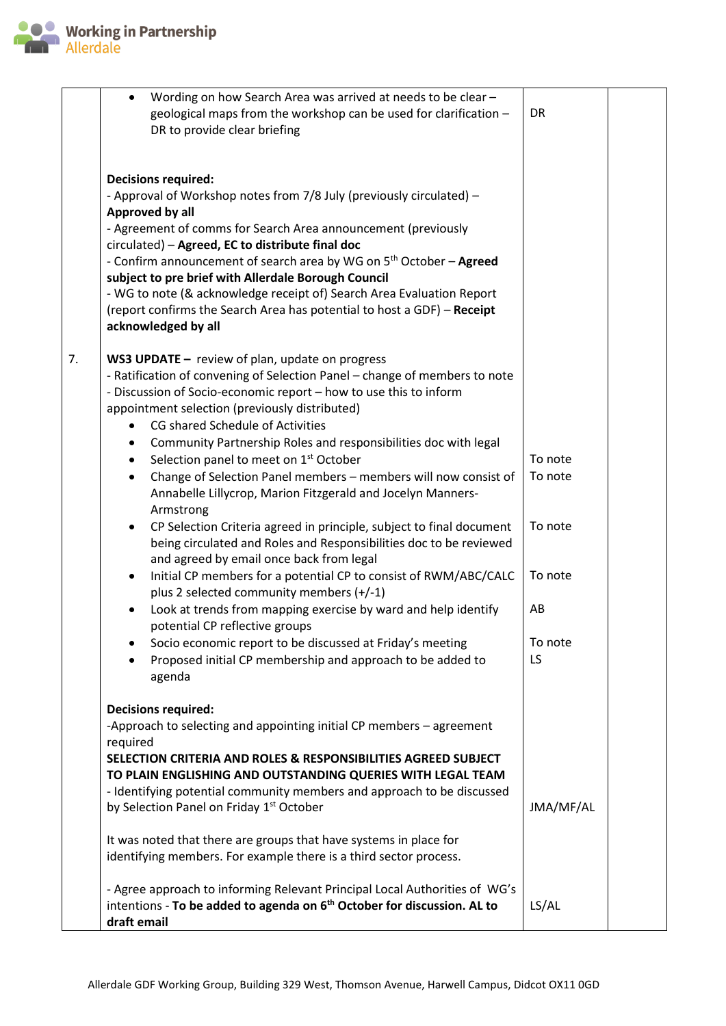

|    | Wording on how Search Area was arrived at needs to be clear -<br>geological maps from the workshop can be used for clarification -<br>DR to provide clear briefing                                                                                                                                                                                                                                                                                                                                                                                                            | <b>DR</b>                |  |
|----|-------------------------------------------------------------------------------------------------------------------------------------------------------------------------------------------------------------------------------------------------------------------------------------------------------------------------------------------------------------------------------------------------------------------------------------------------------------------------------------------------------------------------------------------------------------------------------|--------------------------|--|
|    | <b>Decisions required:</b><br>- Approval of Workshop notes from 7/8 July (previously circulated) -<br><b>Approved by all</b><br>- Agreement of comms for Search Area announcement (previously<br>circulated) - Agreed, EC to distribute final doc<br>- Confirm announcement of search area by WG on 5 <sup>th</sup> October - Agreed<br>subject to pre brief with Allerdale Borough Council<br>- WG to note (& acknowledge receipt of) Search Area Evaluation Report<br>(report confirms the Search Area has potential to host a GDF) - Receipt<br>acknowledged by all        |                          |  |
| 7. | WS3 UPDATE - review of plan, update on progress<br>- Ratification of convening of Selection Panel - change of members to note<br>- Discussion of Socio-economic report - how to use this to inform<br>appointment selection (previously distributed)<br>CG shared Schedule of Activities<br>$\bullet$<br>Community Partnership Roles and responsibilities doc with legal<br>Selection panel to meet on 1 <sup>st</sup> October<br>Change of Selection Panel members - members will now consist of<br>$\bullet$<br>Annabelle Lillycrop, Marion Fitzgerald and Jocelyn Manners- | To note<br>To note       |  |
|    | Armstrong<br>CP Selection Criteria agreed in principle, subject to final document<br>$\bullet$<br>being circulated and Roles and Responsibilities doc to be reviewed<br>and agreed by email once back from legal<br>Initial CP members for a potential CP to consist of RWM/ABC/CALC<br>plus 2 selected community members (+/-1)<br>Look at trends from mapping exercise by ward and help identify<br>potential CP reflective groups                                                                                                                                          | To note<br>To note<br>AB |  |
|    | Socio economic report to be discussed at Friday's meeting<br>Proposed initial CP membership and approach to be added to<br>agenda                                                                                                                                                                                                                                                                                                                                                                                                                                             | To note<br>LS            |  |
|    | <b>Decisions required:</b><br>-Approach to selecting and appointing initial CP members - agreement<br>required<br><b>SELECTION CRITERIA AND ROLES &amp; RESPONSIBILITIES AGREED SUBJECT</b><br>TO PLAIN ENGLISHING AND OUTSTANDING QUERIES WITH LEGAL TEAM<br>- Identifying potential community members and approach to be discussed<br>by Selection Panel on Friday 1 <sup>st</sup> October<br>It was noted that there are groups that have systems in place for<br>identifying members. For example there is a third sector process.                                        | JMA/MF/AL                |  |
|    | - Agree approach to informing Relevant Principal Local Authorities of WG's<br>intentions - To be added to agenda on 6 <sup>th</sup> October for discussion. AL to<br>draft email                                                                                                                                                                                                                                                                                                                                                                                              | LS/AL                    |  |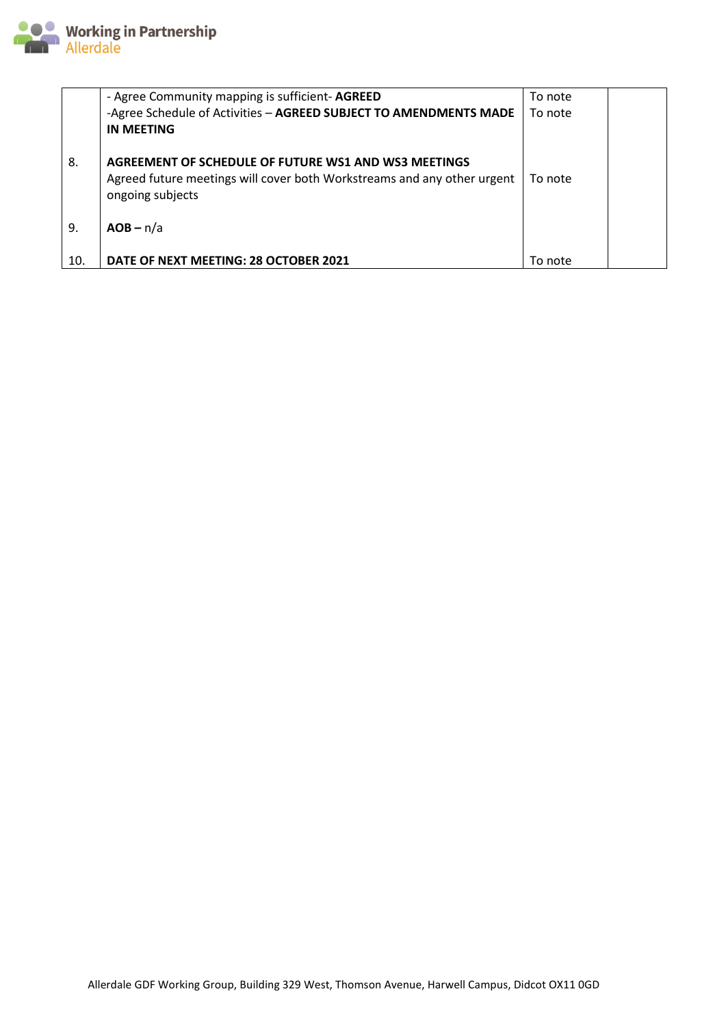

|     | - Agree Community mapping is sufficient- AGREED                                             | To note |  |
|-----|---------------------------------------------------------------------------------------------|---------|--|
|     | -Agree Schedule of Activities - AGREED SUBJECT TO AMENDMENTS MADE<br><b>IN MEETING</b>      | To note |  |
|     |                                                                                             |         |  |
| 8.  | <b>AGREEMENT OF SCHEDULE OF FUTURE WS1 AND WS3 MEETINGS</b>                                 |         |  |
|     | Agreed future meetings will cover both Workstreams and any other urgent<br>ongoing subjects | To note |  |
| 9.  | $AOB - n/a$                                                                                 |         |  |
| 10. | DATE OF NEXT MEETING: 28 OCTOBER 2021                                                       | To note |  |